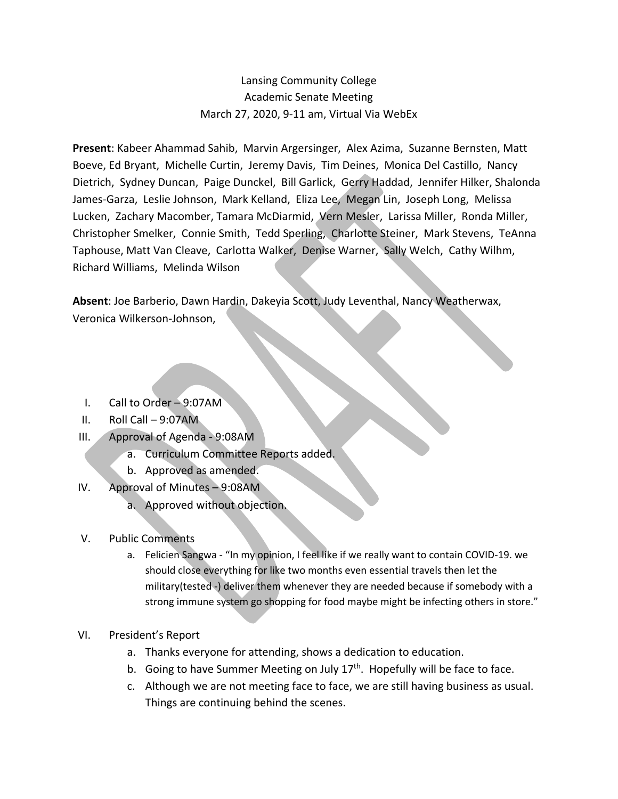## Lansing Community College Academic Senate Meeting March 27, 2020, 9-11 am, Virtual Via WebEx

**Present**: Kabeer Ahammad Sahib, Marvin Argersinger, Alex Azima, Suzanne Bernsten, Matt Boeve, Ed Bryant, Michelle Curtin, Jeremy Davis, Tim Deines, Monica Del Castillo, Nancy Dietrich, Sydney Duncan, Paige Dunckel, Bill Garlick, Gerry Haddad, Jennifer Hilker, Shalonda James-Garza, Leslie Johnson, Mark Kelland, Eliza Lee, Megan Lin, Joseph Long, Melissa Lucken, Zachary Macomber, Tamara McDiarmid, Vern Mesler, Larissa Miller, Ronda Miller, Christopher Smelker, Connie Smith, Tedd Sperling, Charlotte Steiner, Mark Stevens, TeAnna Taphouse, Matt Van Cleave, Carlotta Walker, Denise Warner, Sally Welch, Cathy Wilhm, Richard Williams, Melinda Wilson

**Absent**: Joe Barberio, Dawn Hardin, Dakeyia Scott, Judy Leventhal, Nancy Weatherwax, Veronica Wilkerson-Johnson,

- I. Call to Order 9:07AM
- II. Roll Call 9:07AM
- III. Approval of Agenda 9:08AM
	- a. Curriculum Committee Reports added.
	- b. Approved as amended.
- IV. Approval of Minutes 9:08AM
	- a. Approved without objection.
- V. Public Comments
	- a. Felicien Sangwa "In my opinion, I feel like if we really want to contain COVID-19. we should close everything for like two months even essential travels then let the military(tested -) deliver them whenever they are needed because if somebody with a strong immune system go shopping for food maybe might be infecting others in store."
- VI. President's Report
	- a. Thanks everyone for attending, shows a dedication to education.
	- b. Going to have Summer Meeting on July  $17<sup>th</sup>$ . Hopefully will be face to face.
	- c. Although we are not meeting face to face, we are still having business as usual. Things are continuing behind the scenes.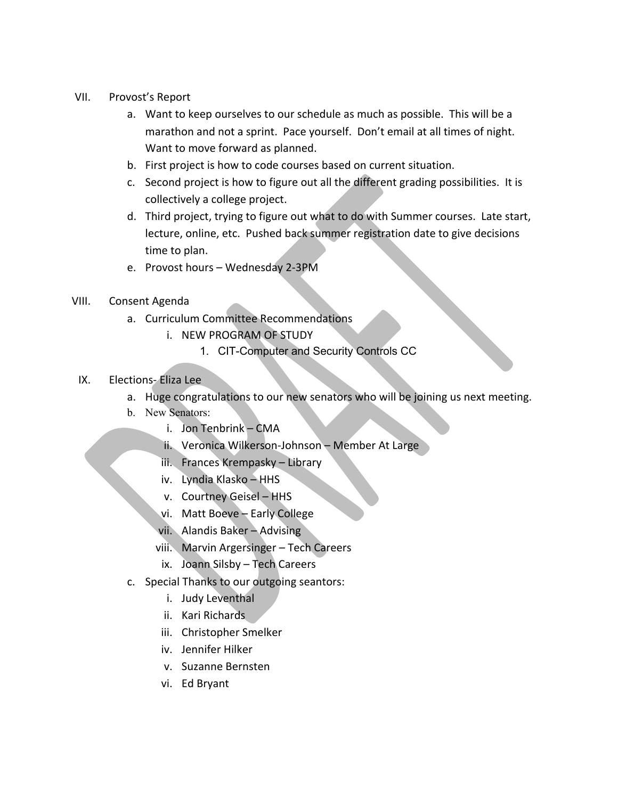- VII. Provost's Report
	- a. Want to keep ourselves to our schedule as much as possible. This will be a marathon and not a sprint. Pace yourself. Don't email at all times of night. Want to move forward as planned.
	- b. First project is how to code courses based on current situation.
	- c. Second project is how to figure out all the different grading possibilities. It is collectively a college project.
	- d. Third project, trying to figure out what to do with Summer courses. Late start, lecture, online, etc. Pushed back summer registration date to give decisions time to plan.
	- e. Provost hours Wednesday 2-3PM
- VIII. Consent Agenda
	- a. Curriculum Committee Recommendations
		- i. NEW PROGRAM OF STUDY
			- 1. CIT-Computer and Security Controls CC
	- IX. Elections- Eliza Lee
		- a. Huge congratulations to our new senators who will be joining us next meeting.
		- b. New Senators:
			- i. Jon Tenbrink CMA
			- ii. Veronica Wilkerson-Johnson Member At Large
			- iii. Frances Krempasky Library
			- iv. Lyndia Klasko HHS
			- v. Courtney Geisel HHS
			- vi. Matt Boeve Early College
			- vii. Alandis Baker Advising
			- viii. Marvin Argersinger Tech Careers
			- ix. Joann Silsby Tech Careers
		- c. Special Thanks to our outgoing seantors:
			- i. Judy Leventhal
			- ii. Kari Richards
			- iii. Christopher Smelker
			- iv. Jennifer Hilker
			- v. Suzanne Bernsten
			- vi. Ed Bryant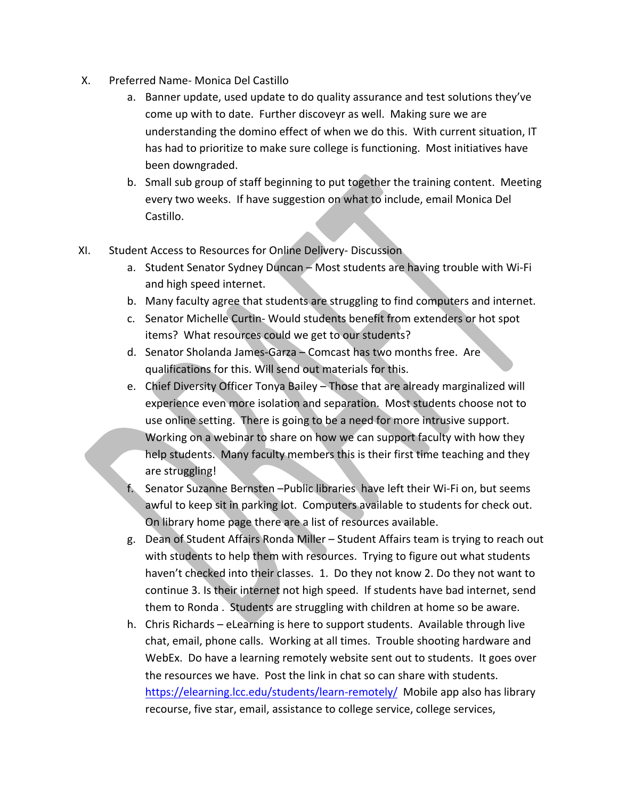- X. Preferred Name- Monica Del Castillo
	- a. Banner update, used update to do quality assurance and test solutions they've come up with to date. Further discoveyr as well. Making sure we are understanding the domino effect of when we do this. With current situation, IT has had to prioritize to make sure college is functioning. Most initiatives have been downgraded.
	- b. Small sub group of staff beginning to put together the training content. Meeting every two weeks. If have suggestion on what to include, email Monica Del Castillo.
- XI. Student Access to Resources for Online Delivery- Discussion
	- a. Student Senator Sydney Duncan Most students are having trouble with Wi-Fi and high speed internet.
	- b. Many faculty agree that students are struggling to find computers and internet.
	- c. Senator Michelle Curtin- Would students benefit from extenders or hot spot items? What resources could we get to our students?
	- d. Senator Sholanda James-Garza Comcast has two months free. Are qualifications for this. Will send out materials for this.
	- e. Chief Diversity Officer Tonya Bailey Those that are already marginalized will experience even more isolation and separation. Most students choose not to use online setting. There is going to be a need for more intrusive support. Working on a webinar to share on how we can support faculty with how they help students. Many faculty members this is their first time teaching and they are struggling!
	- Senator Suzanne Bernsten –Public libraries have left their Wi-Fi on, but seems awful to keep sit in parking lot. Computers available to students for check out. On library home page there are a list of resources available.
	- g. Dean of Student Affairs Ronda Miller Student Affairs team is trying to reach out with students to help them with resources. Trying to figure out what students haven't checked into their classes. 1. Do they not know 2. Do they not want to continue 3. Is their internet not high speed. If students have bad internet, send them to Ronda . Students are struggling with children at home so be aware.
	- h. Chris Richards eLearning is here to support students. Available through live chat, email, phone calls. Working at all times. Trouble shooting hardware and WebEx. Do have a learning remotely website sent out to students. It goes over the resources we have. Post the link in chat so can share with students. https://elearning.lcc.edu/students/learn-remotely/ Mobile app also has library recourse, five star, email, assistance to college service, college services,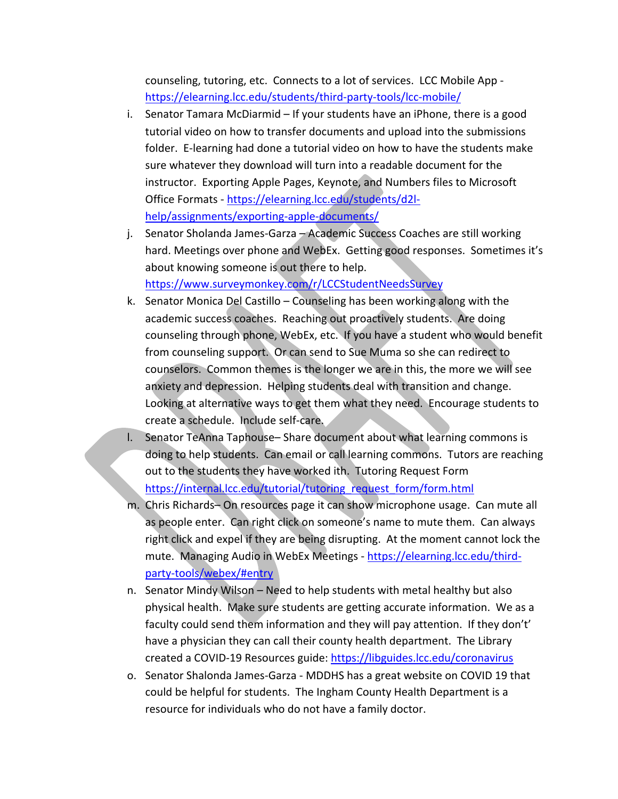counseling, tutoring, etc. Connects to a lot of services. LCC Mobile App https://elearning.lcc.edu/students/third-party-tools/lcc-mobile/

- i. Senator Tamara McDiarmid If your students have an iPhone, there is a good tutorial video on how to transfer documents and upload into the submissions folder. E-learning had done a tutorial video on how to have the students make sure whatever they download will turn into a readable document for the instructor. Exporting Apple Pages, Keynote, and Numbers files to Microsoft Office Formats - https://elearning.lcc.edu/students/d2lhelp/assignments/exporting-apple-documents/
- j. Senator Sholanda James-Garza Academic Success Coaches are still working hard. Meetings over phone and WebEx. Getting good responses. Sometimes it's about knowing someone is out there to help. https://www.surveymonkey.com/r/LCCStudentNeedsSurvey
- k. Senator Monica Del Castillo Counseling has been working along with the academic success coaches. Reaching out proactively students. Are doing counseling through phone, WebEx, etc. If you have a student who would benefit from counseling support. Or can send to Sue Muma so she can redirect to counselors. Common themes is the longer we are in this, the more we will see anxiety and depression. Helping students deal with transition and change. Looking at alternative ways to get them what they need. Encourage students to create a schedule. Include self-care.
- l. Senator TeAnna Taphouse– Share document about what learning commons is doing to help students. Can email or call learning commons. Tutors are reaching out to the students they have worked ith. Tutoring Request Form https://internal.lcc.edu/tutorial/tutoring\_request\_form/form.html
- m. Chris Richards– On resources page it can show microphone usage. Can mute all as people enter. Can right click on someone's name to mute them. Can always right click and expel if they are being disrupting. At the moment cannot lock the mute. Managing Audio in WebEx Meetings - https://elearning.lcc.edu/thirdparty-tools/webex/#entry
- n. Senator Mindy Wilson Need to help students with metal healthy but also physical health. Make sure students are getting accurate information. We as a faculty could send them information and they will pay attention. If they don't' have a physician they can call their county health department. The Library created a COVID-19 Resources guide: https://libguides.lcc.edu/coronavirus
- o. Senator Shalonda James-Garza MDDHS has a great website on COVID 19 that could be helpful for students. The Ingham County Health Department is a resource for individuals who do not have a family doctor.